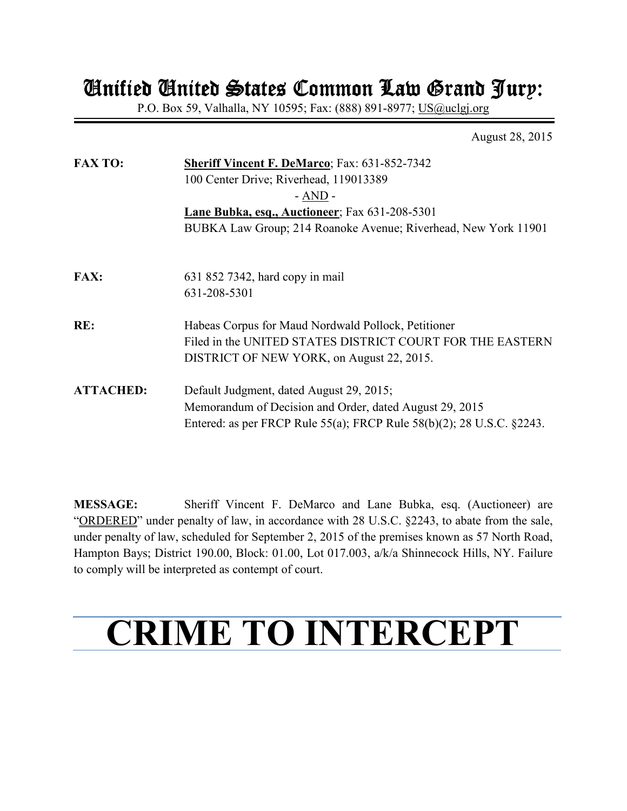# Unified United States Common Law Grand Jury: Unified United Common Law Jury:

P.O. Box 59, Valhalla, NY 10595; Fax: (888) 891-8977; US@uclgj.org

August 28, 2015

| <b>FAX TO:</b>   | <b>Sheriff Vincent F. DeMarco</b> ; Fax: 631-852-7342                 |  |  |
|------------------|-----------------------------------------------------------------------|--|--|
|                  | 100 Center Drive; Riverhead, 119013389                                |  |  |
|                  | $- AND -$                                                             |  |  |
|                  | Lane Bubka, esq., Auctioneer; Fax 631-208-5301                        |  |  |
|                  | BUBKA Law Group; 214 Roanoke Avenue; Riverhead, New York 11901        |  |  |
|                  |                                                                       |  |  |
| <b>FAX:</b>      | 631 852 7342, hard copy in mail                                       |  |  |
|                  | 631-208-5301                                                          |  |  |
| RE:              | Habeas Corpus for Maud Nordwald Pollock, Petitioner                   |  |  |
|                  | Filed in the UNITED STATES DISTRICT COURT FOR THE EASTERN             |  |  |
|                  | DISTRICT OF NEW YORK, on August 22, 2015.                             |  |  |
| <b>ATTACHED:</b> | Default Judgment, dated August 29, 2015;                              |  |  |
|                  | Memorandum of Decision and Order, dated August 29, 2015               |  |  |
|                  | Entered: as per FRCP Rule 55(a); FRCP Rule 58(b)(2); 28 U.S.C. §2243. |  |  |

**MESSAGE:** Sheriff Vincent F. DeMarco and Lane Bubka, esq. (Auctioneer) are "ORDERED" under penalty of law, in accordance with 28 U.S.C. §2243, to abate from the sale, under penalty of law, scheduled for September 2, 2015 of the premises known as 57 North Road, Hampton Bays; District 190.00, Block: 01.00, Lot 017.003, a/k/a Shinnecock Hills, NY. Failure to comply will be interpreted as contempt of court.

# **CRIME TO INTERCEPT**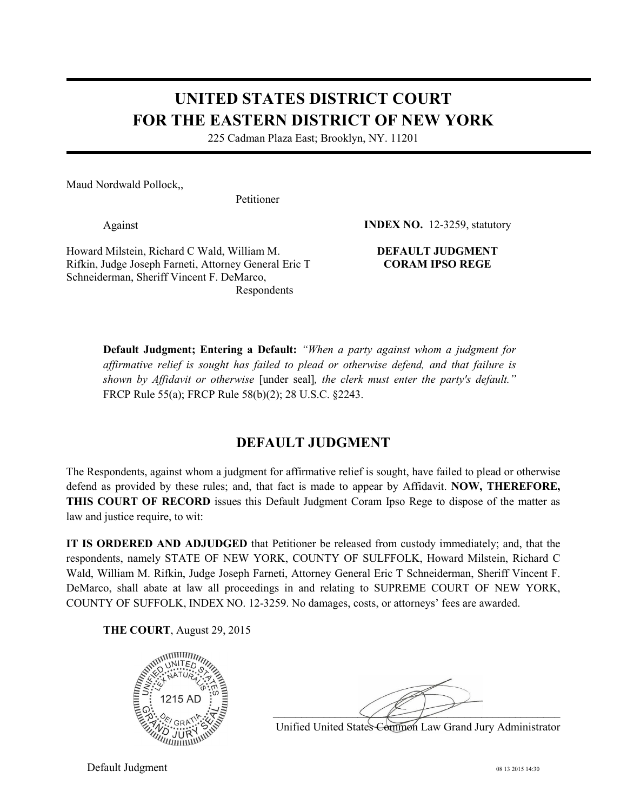## **UNITED STATES DISTRICT COURT FOR THE EASTERN DISTRICT OF NEW YORK**

225 Cadman Plaza East; Brooklyn, NY. 11201

Maud Nordwald Pollock,,

Petitioner

Against

Howard Milstein, Richard C Wald, William M. Rifkin, Judge Joseph Farneti, Attorney General Eric T Schneiderman, Sheriff Vincent F. DeMarco, Respondents

**INDEX NO.** 12-3259, statutory

#### **DEFAULT JUDGMENT CORAM IPSO REGE**

**Default Judgment; Entering a Default:** *"When a party against whom a judgment for affirmative relief is sought has failed to plead or otherwise defend, and that failure is shown by Affidavit or otherwise* [under seal]*, the clerk must enter the party's default."*  FRCP Rule 55(a); FRCP Rule 58(b)(2); 28 U.S.C. §2243.

#### **DEFAULT JUDGMENT**

The Respondents, against whom a judgment for affirmative relief is sought, have failed to plead or otherwise defend as provided by these rules; and, that fact is made to appear by Affidavit. **NOW, THEREFORE, THIS COURT OF RECORD** issues this Default Judgment Coram Ipso Rege to dispose of the matter as law and justice require, to wit:

**IT IS ORDERED AND ADJUDGED** that Petitioner be released from custody immediately; and, that the respondents, namely STATE OF NEW YORK, COUNTY OF SULFFOLK, Howard Milstein, Richard C Wald, William M. Rifkin, Judge Joseph Farneti, Attorney General Eric T Schneiderman, Sheriff Vincent F. DeMarco, shall abate at law all proceedings in and relating to SUPREME COURT OF NEW YORK, COUNTY OF SUFFOLK, INDEX NO. 12-3259. No damages, costs, or attorneys' fees are awarded.

**THE COURT**, August 29, 2015



 $\Xi_{\infty}^{G}$  ,  $\lambda_{\infty}$  ,  $\lambda_{\infty}$  ,  $\lambda_{\infty}$  ,  $\lambda_{\infty}$  ,  $\lambda_{\infty}$  ,  $\lambda_{\infty}$  ,  $\lambda_{\infty}$  ,  $\lambda_{\infty}$  ,  $\lambda_{\infty}$  ,  $\lambda_{\infty}$  ,  $\lambda_{\infty}$  ,  $\lambda_{\infty}$  ,  $\lambda_{\infty}$  ,  $\lambda_{\infty}$  ,  $\lambda_{\infty}$  ,  $\lambda_{\infty}$  ,  $\lambda_{\infty}$  ,  $\$ 

Unified United States Common Law Grand Jury Administrator

Default Judgment 08 13 2015 14:30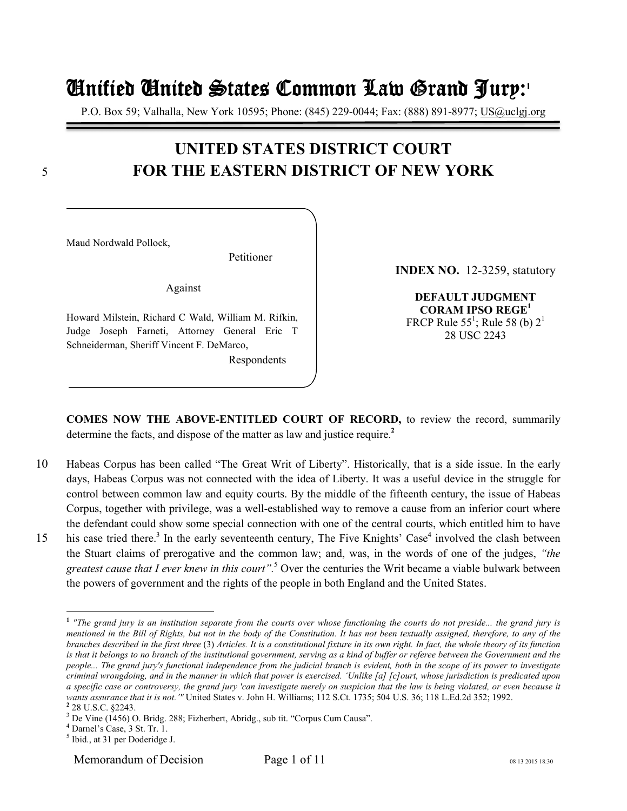# Unified United States Common Law Grand Jury Unified United States Common Law Grand Jurynified Grand Jury:**<sup>1</sup>**

P.O. Box 59; Valhalla, New York 10595; Phone: (845) 229-0044; Fax: (888) 891-8977; US@uclgj.org

### **UNITED STATES DISTRICT COURT**  5 **FOR THE EASTERN DISTRICT OF NEW YORK**

Maud Nordwald Pollock,

Petitioner

Against

Howard Milstein, Richard C Wald, William M. Rifkin, Judge Joseph Farneti, Attorney General Eric T Schneiderman, Sheriff Vincent F. DeMarco,

Respondents

**INDEX NO.** 12-3259, statutory

**DEFAULT JUDGMENT CORAM IPSO REGE<sup>1</sup>** FRCP Rule 55<sup>1</sup>; Rule 58 (b)  $2^1$ 28 USC 2243

**COMES NOW THE ABOVE-ENTITLED COURT OF RECORD,** to review the record, summarily determine the facts, and dispose of the matter as law and justice require.**<sup>2</sup>**

- 10 Habeas Corpus has been called "The Great Writ of Liberty". Historically, that is a side issue. In the early days, Habeas Corpus was not connected with the idea of Liberty. It was a useful device in the struggle for control between common law and equity courts. By the middle of the fifteenth century, the issue of Habeas Corpus, together with privilege, was a well-established way to remove a cause from an inferior court where the defendant could show some special connection with one of the central courts, which entitled him to have
- 15 his case tried there.<sup>3</sup> In the early seventeenth century, The Five Knights' Case<sup>4</sup> involved the clash between the Stuart claims of prerogative and the common law; and, was, in the words of one of the judges, *"the greatest cause that I ever knew in this court".*<sup>5</sup> Over the centuries the Writ became a viable bulwark between the powers of government and the rights of the people in both England and the United States.

 $\overline{a}$ 

Memorandum of Decision Page 1 of 11 08 13 2015 18:30

**<sup>1</sup>** *"The grand jury is an institution separate from the courts over whose functioning the courts do not preside... the grand jury is mentioned in the Bill of Rights, but not in the body of the Constitution. It has not been textually assigned, therefore, to any of the branches described in the first three* (3) *Articles. It is a constitutional fixture in its own right. In fact, the whole theory of its function*  is that it belongs to no branch of the institutional government, serving as a kind of buffer or referee between the Government and the *people... The grand jury's functional independence from the judicial branch is evident, both in the scope of its power to investigate criminal wrongdoing, and in the manner in which that power is exercised. 'Unlike [a] [c]ourt, whose jurisdiction is predicated upon a specific case or controversy, the grand jury 'can investigate merely on suspicion that the law is being violated, or even because it wants assurance that it is not.'"* United States v. John H. Williams; 112 S.Ct. 1735; 504 U.S. 36; 118 L.Ed.2d 352; 1992. **2** 28 U.S.C. §2243.

<sup>&</sup>lt;sup>3</sup> De Vine (1456) O. Bridg. 288; Fizherbert, Abridg., sub tit. "Corpus Cum Causa".

<sup>4</sup> Darnel's Case, 3 St. Tr. 1.

<sup>&</sup>lt;sup>5</sup> Ibid., at 31 per Doderidge J.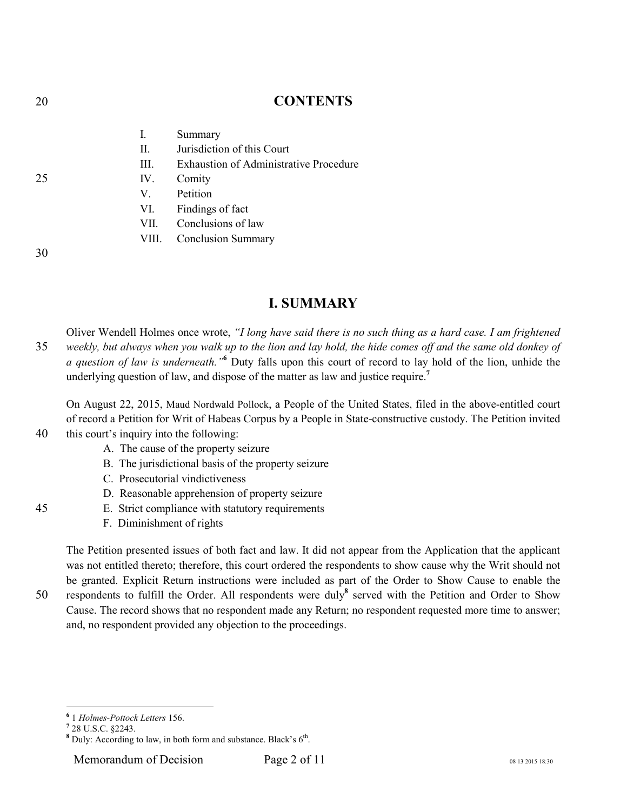#### 20 **CONTENTS**

|               | Ι.    | Summary                                       |
|---------------|-------|-----------------------------------------------|
|               | П.    | Jurisdiction of this Court                    |
|               | HI.   | <b>Exhaustion of Administrative Procedure</b> |
| 25            | IV.   | Comity                                        |
|               | V.    | Petition                                      |
|               | VI.   | Findings of fact                              |
|               | VII - | Conclusions of law                            |
|               |       | VIII. Conclusion Summary                      |
| $\sim$ $\sim$ |       |                                               |

30

#### **I. SUMMARY**

Oliver Wendell Holmes once wrote, *"I long have said there is no such thing as a hard case. I am frightened*  35 *weekly, but always when you walk up to the lion and lay hold, the hide comes off and the same old donkey of*  a question of law is underneath.<sup>16</sup> Duty falls upon this court of record to lay hold of the lion, unhide the underlying question of law, and dispose of the matter as law and justice require.**<sup>7</sup>**

On August 22, 2015, Maud Nordwald Pollock, a People of the United States, filed in the above-entitled court of record a Petition for Writ of Habeas Corpus by a People in State-constructive custody. The Petition invited

- 40 this court's inquiry into the following:
	- A. The cause of the property seizure
	- B. The jurisdictional basis of the property seizure
	- C. Prosecutorial vindictiveness
	- D. Reasonable apprehension of property seizure
- 45 E. Strict compliance with statutory requirements
	- F. Diminishment of rights

The Petition presented issues of both fact and law. It did not appear from the Application that the applicant was not entitled thereto; therefore, this court ordered the respondents to show cause why the Writ should not be granted. Explicit Return instructions were included as part of the Order to Show Cause to enable the 50 respondents to fulfill the Order. All respondents were duly<sup>8</sup> served with the Petition and Order to Show Cause. The record shows that no respondent made any Return; no respondent requested more time to answer; and, no respondent provided any objection to the proceedings.

 **6** 1 *Holmes-Pottock Letters* 156.

**<sup>7</sup>** 28 U.S.C. §2243.

<sup>&</sup>lt;sup>8</sup> Duly: According to law, in both form and substance. Black's 6<sup>th</sup>.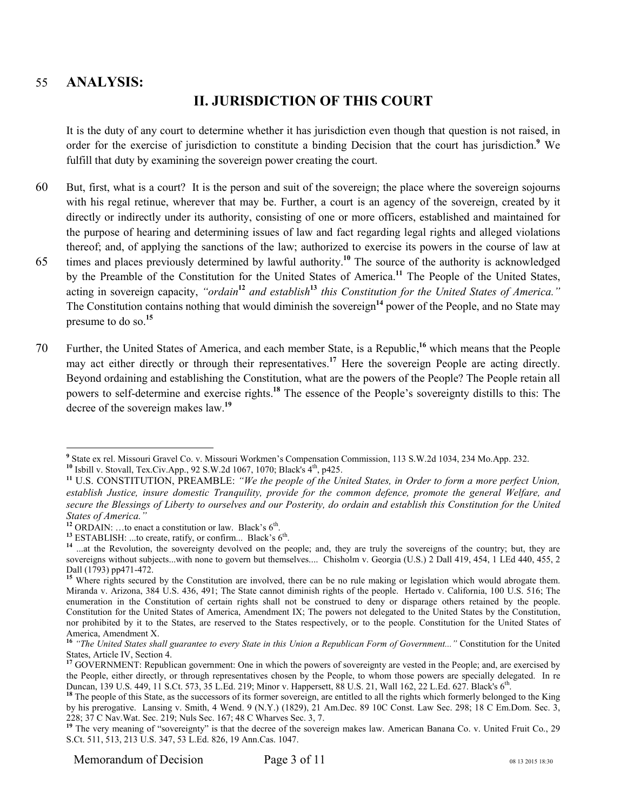#### 55 **ANALYSIS:**

#### **II. JURISDICTION OF THIS COURT**

It is the duty of any court to determine whether it has jurisdiction even though that question is not raised, in order for the exercise of jurisdiction to constitute a binding Decision that the court has jurisdiction.**<sup>9</sup>** We fulfill that duty by examining the sovereign power creating the court.

- 60 But, first, what is a court? It is the person and suit of the sovereign; the place where the sovereign sojourns with his regal retinue, wherever that may be. Further, a court is an agency of the sovereign, created by it directly or indirectly under its authority, consisting of one or more officers, established and maintained for the purpose of hearing and determining issues of law and fact regarding legal rights and alleged violations thereof; and, of applying the sanctions of the law; authorized to exercise its powers in the course of law at
- 65 times and places previously determined by lawful authority.<sup>10</sup> The source of the authority is acknowledged by the Preamble of the Constitution for the United States of America.**<sup>11</sup>** The People of the United States, acting in sovereign capacity, *"ordain***<sup>12</sup>** *and establish***<sup>13</sup>** *this Constitution for the United States of America."*  The Constitution contains nothing that would diminish the sovereign**<sup>14</sup>** power of the People, and no State may presume to do so.**<sup>15</sup>**
- 70 Further, the United States of America, and each member State, is a Republic,<sup>16</sup> which means that the People may act either directly or through their representatives.**<sup>17</sup>** Here the sovereign People are acting directly. Beyond ordaining and establishing the Constitution, what are the powers of the People? The People retain all powers to self-determine and exercise rights.**<sup>18</sup>** The essence of the People's sovereignty distills to this: The decree of the sovereign makes law.**<sup>19</sup>**

<sup>&</sup>lt;sup>9</sup><br>
<sup>9</sup> State ex rel. Missouri Gravel Co. v. Missouri Workmen's Compensation Commission, 113 S.W.2d 1034, 234 Mo.App. 232.

<sup>10</sup> Isbill v. Stovall, Tex.Civ.App., 92 S.W.2d 1067, 1070; Black's 4<sup>th</sup>, p425.

**<sup>11</sup>** U.S. CONSTITUTION, PREAMBLE: *"We the people of the United States, in Order to form a more perfect Union, establish Justice, insure domestic Tranquility, provide for the common defence, promote the general Welfare, and secure the Blessings of Liberty to ourselves and our Posterity, do ordain and establish this Constitution for the United States of America."*

<sup>&</sup>lt;sup>12</sup> ORDAIN: ...to enact a constitution or law. Black's  $6<sup>th</sup>$ .

<sup>&</sup>lt;sup>13</sup> ESTABLISH: ...to create, ratify, or confirm... Black's  $6<sup>th</sup>$ .

<sup>&</sup>lt;sup>14</sup> ...at the Revolution, the sovereignty devolved on the people; and, they are truly the sovereigns of the country; but, they are sovereigns without subjects...with none to govern but themselves.... Chisholm v. Georgia (U.S.) 2 Dall 419, 454, 1 LEd 440, 455, 2 Dall (1793) pp471-472.

Where rights secured by the Constitution are involved, there can be no rule making or legislation which would abrogate them. Miranda v. Arizona, 384 U.S. 436, 491; The State cannot diminish rights of the people. Hertado v. California, 100 U.S. 516; The enumeration in the Constitution of certain rights shall not be construed to deny or disparage others retained by the people. Constitution for the United States of America, Amendment IX; The powers not delegated to the United States by the Constitution, nor prohibited by it to the States, are reserved to the States respectively, or to the people. Constitution for the United States of America, Amendment X.

**<sup>16</sup>** *"The United States shall guarantee to every State in this Union a Republican Form of Government..."* Constitution for the United States, Article IV, Section 4.

<sup>&</sup>lt;sup>17</sup> GOVERNMENT: Republican government: One in which the powers of sovereignty are vested in the People; and, are exercised by the People, either directly, or through representatives chosen by the People, to whom those powers are specially delegated. In re Duncan, 139 U.S. 449, 11 S.Ct. 573, 35 L.Ed. 219; Minor v. Happersett, 88 U.S. 21, Wall 162, 22 L.Ed. 627. Black's 6<sup>th</sup> .

<sup>&</sup>lt;sup>18</sup> The people of this State, as the successors of its former sovereign, are entitled to all the rights which formerly belonged to the King by his prerogative. Lansing v. Smith, 4 Wend. 9 (N.Y.) (1829), 21 Am.Dec. 89 10C Const. Law Sec. 298; 18 C Em.Dom. Sec. 3, 228; 37 C Nav.Wat. Sec. 219; Nuls Sec. 167; 48 C Wharves Sec. 3, 7.

<sup>&</sup>lt;sup>19</sup> The very meaning of "sovereignty" is that the decree of the sovereign makes law. American Banana Co. v. United Fruit Co., 29 S.Ct. 511, 513, 213 U.S. 347, 53 L.Ed. 826, 19 Ann.Cas. 1047.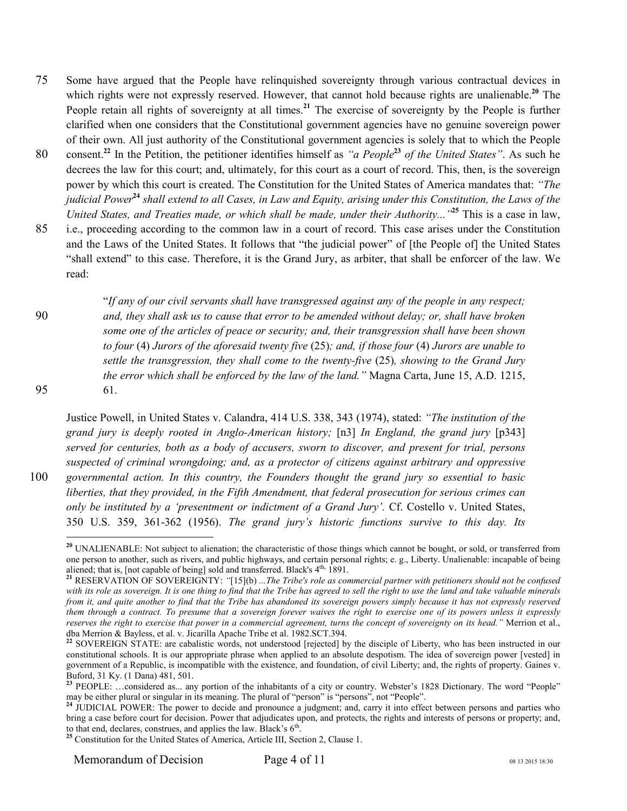- 75 Some have argued that the People have relinquished sovereignty through various contractual devices in which rights were not expressly reserved. However, that cannot hold because rights are unalienable.<sup>20</sup> The People retain all rights of sovereignty at all times.**<sup>21</sup>** The exercise of sovereignty by the People is further clarified when one considers that the Constitutional government agencies have no genuine sovereign power of their own. All just authority of the Constitutional government agencies is solely that to which the People
- consent.**<sup>22</sup>** In the Petition, the petitioner identifies himself as *"a People***<sup>23</sup>** 80 *of the United States"*. As such he decrees the law for this court; and, ultimately, for this court as a court of record. This, then, is the sovereign power by which this court is created. The Constitution for the United States of America mandates that: *"The judicial Power***<sup>24</sup>** *shall extend to all Cases, in Law and Equity, arising under this Constitution, the Laws of the United States, and Treaties made, or which shall be made, under their Authority..."***<sup>25</sup>** This is a case in law,
- 85 i.e., proceeding according to the common law in a court of record. This case arises under the Constitution and the Laws of the United States. It follows that "the judicial power" of [the People of] the United States "shall extend" to this case. Therefore, it is the Grand Jury, as arbiter, that shall be enforcer of the law. We read:

"*If any of our civil servants shall have transgressed against any of the people in any respect;*  90 *and, they shall ask us to cause that error to be amended without delay; or, shall have broken some one of the articles of peace or security; and, their transgression shall have been shown to four* (4) *Jurors of the aforesaid twenty five* (25)*; and, if those four* (4) *Jurors are unable to settle the transgression, they shall come to the twenty-five* (25)*, showing to the Grand Jury the error which shall be enforced by the law of the land."* Magna Carta, June 15, A.D. 1215, 95 61.

Justice Powell, in United States v. Calandra, 414 U.S. 338, 343 (1974), stated: *"The institution of the grand jury is deeply rooted in Anglo-American history;* [n3] *In England, the grand jury* [p343] *served for centuries, both as a body of accusers, sworn to discover, and present for trial, persons suspected of criminal wrongdoing; and, as a protector of citizens against arbitrary and oppressive*  100 *governmental action. In this country, the Founders thought the grand jury so essential to basic liberties, that they provided, in the Fifth Amendment, that federal prosecution for serious crimes can only be instituted by a 'presentment or indictment of a Grand Jury'.* Cf. Costello v. United States, 350 U.S. 359, 361-362 (1956). *The grand jury's historic functions survive to this day. Its* 

 $\overline{a}$ 

**<sup>20</sup>** UNALIENABLE: Not subject to alienation; the characteristic of those things which cannot be bought, or sold, or transferred from one person to another, such as rivers, and public highways, and certain personal rights; e. g., Liberty. Unalienable: incapable of being aliened; that is, [not capable of being] sold and transferred. Black's 4<sup>th,</sup> 1891.

**<sup>21</sup>** RESERVATION OF SOVEREIGNTY: *"*[15](b) *...The Tribe's role as commercial partner with petitioners should not be confused with its role as sovereign. It is one thing to find that the Tribe has agreed to sell the right to use the land and take valuable minerals from it, and quite another to find that the Tribe has abandoned its sovereign powers simply because it has not expressly reserved them through a contract. To presume that a sovereign forever waives the right to exercise one of its powers unless it expressly reserves the right to exercise that power in a commercial agreement, turns the concept of sovereignty on its head."* Merrion et al., dba Merrion & Bayless, et al. v. Jicarilla Apache Tribe et al. 1982.SCT.394.

**<sup>22</sup>** SOVEREIGN STATE: are cabalistic words, not understood [rejected] by the disciple of Liberty, who has been instructed in our constitutional schools. It is our appropriate phrase when applied to an absolute despotism. The idea of sovereign power [vested] in government of a Republic, is incompatible with the existence, and foundation, of civil Liberty; and, the rights of property. Gaines v. Buford, 31 Ky. (1 Dana) 481, 501.

<sup>&</sup>lt;sup>23</sup> PEOPLE: ...considered as... any portion of the inhabitants of a city or country. Webster's 1828 Dictionary. The word "People" may be either plural or singular in its meaning. The plural of "person" is "persons", not "People".

<sup>&</sup>lt;sup>24</sup> JUDICIAL POWER: The power to decide and pronounce a judgment; and, carry it into effect between persons and parties who bring a case before court for decision. Power that adjudicates upon, and protects, the rights and interests of persons or property; and, to that end, declares, construes, and applies the law. Black's  $6<sup>th</sup>$ .

<sup>&</sup>lt;sup>25</sup> Constitution for the United States of America, Article III, Section 2, Clause 1.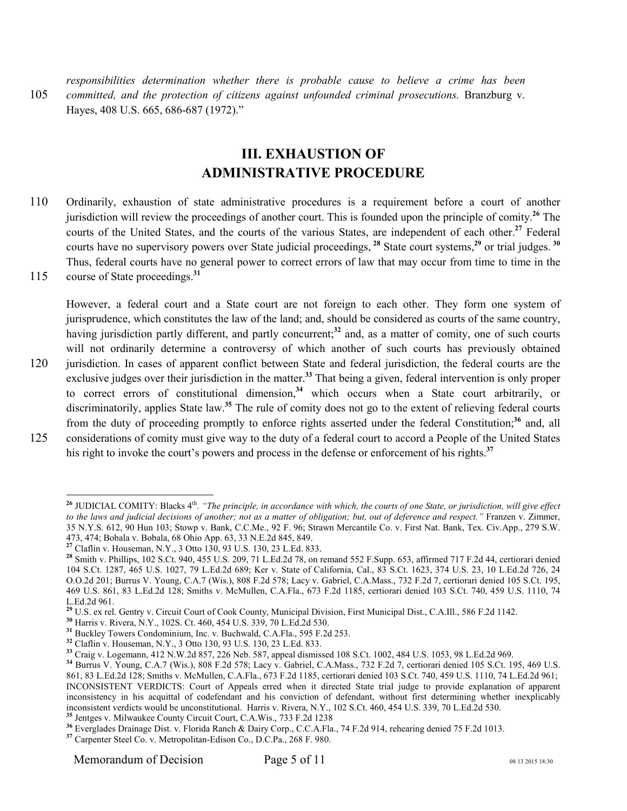*responsibilities determination whether there is probable cause to believe a crime has been*  105 *committed, and the protection of citizens against unfounded criminal prosecutions.* Branzburg v. Hayes, 408 U.S. 665, 686-687 (1972)."

#### **III. EXHAUSTION OF ADMINISTRATIVE PROCEDURE**

- 110 Ordinarily, exhaustion of state administrative procedures is a requirement before a court of another jurisdiction will review the proceedings of another court. This is founded upon the principle of comity. **<sup>26</sup>** The courts of the United States, and the courts of the various States, are independent of each other.**<sup>27</sup>** Federal courts have no supervisory powers over State judicial proceedings, **<sup>28</sup>** State court systems,**<sup>29</sup>** or trial judges. **<sup>30</sup>** Thus, federal courts have no general power to correct errors of law that may occur from time to time in the
- 115 course of State proceedings.<sup>31</sup>

However, a federal court and a State court are not foreign to each other. They form one system of jurisprudence, which constitutes the law of the land; and, should be considered as courts of the same country, having jurisdiction partly different, and partly concurrent;<sup>32</sup> and, as a matter of comity, one of such courts will not ordinarily determine a controversy of which another of such courts has previously obtained 120 jurisdiction. In cases of apparent conflict between State and federal jurisdiction, the federal courts are the exclusive judges over their jurisdiction in the matter.**<sup>33</sup>** That being a given, federal intervention is only proper to correct errors of constitutional dimension,**<sup>34</sup>** which occurs when a State court arbitrarily, or discriminatorily, applies State law.**<sup>35</sup>** The rule of comity does not go to the extent of relieving federal courts from the duty of proceeding promptly to enforce rights asserted under the federal Constitution;**<sup>36</sup>** and, all 125 considerations of comity must give way to the duty of a federal court to accord a People of the United States

his right to invoke the court's powers and process in the defense or enforcement of his rights.**<sup>37</sup>**

 $\overline{a}$ <sup>26</sup> JUDICIAL COMITY: Blacks 4<sup>th</sup>. *"The principle, in accordance with which, the courts of one State, or jurisdiction, will give effect to the laws and judicial decisions of another; not as a matter of obligation; but, out of deference and respect."* Franzen v. Zimmer,

<sup>35</sup> N.Y.S. 612, 90 Hun 103; Stowp v. Bank, C.C.Me., 92 F. 96; Strawn Mercantile Co. v. First Nat. Bank, Tex. Civ.App., 279 S.W. 473, 474; Bobala v. Bobala, 68 Ohio App. 63, 33 N.E.2d 845, 849.

**<sup>27</sup>** Claflin v. Houseman, N.Y., 3 Otto 130, 93 U.S. 130, 23 L.Ed. 833.

**<sup>28</sup>** Smith v. Phillips, 102 S.Ct. 940, 455 U.S. 209, 71 L.Ed.2d 78, on remand 552 F.Supp. 653, affirmed 717 F.2d 44, certiorari denied 104 S.Ct. 1287, 465 U.S. 1027, 79 L.Ed.2d 689; Ker v. State of California, Cal., 83 S.Ct. 1623, 374 U.S. 23, 10 L.Ed.2d 726, 24 O.O.2d 201; Burrus V. Young, C.A.7 (Wis.), 808 F.2d 578; Lacy v. Gabriel, C.A.Mass., 732 F.2d 7, certiorari denied 105 S.Ct. 195, 469 U.S. 861, 83 L.Ed.2d 128; Smiths v. McMullen, C.A.Fla., 673 F.2d 1185, certiorari denied 103 S.Ct. 740, 459 U.S. 1110, 74 L.Ed.2d 961.

**<sup>29</sup>** U.S. ex rel. Gentry v. Circuit Court of Cook County, Municipal Division, First Municipal Dist., C.A.Ill., 586 F.2d 1142.

**<sup>30</sup>** Harris v. Rivera, N.Y., 102S. Ct. 460, 454 U.S. 339, 70 L.Ed.2d 530.

**<sup>31</sup>** Buckley Towers Condominium, Inc. v. Buchwald, C.A.Fla., 595 F.2d 253.

**<sup>32</sup>** Claflin v. Houseman, N.Y., 3 Otto 130, 93 U.S. 130, 23 L.Ed. 833.

**<sup>33</sup>** Craig v. Logemann, 412 N.W.2d 857, 226 Neb. 587, appeal dismissed 108 S.Ct. 1002, 484 U.S. 1053, 98 L.Ed.2d 969.

**<sup>34</sup>** Burrus V. Young, C.A.7 (Wis.), 808 F.2d 578; Lacy v. Gabriel, C.A.Mass., 732 F.2d 7, certiorari denied 105 S.Ct. 195, 469 U.S. 861, 83 L.Ed.2d 128; Smiths v. McMullen, C.A.Fla., 673 F.2d 1185, certiorari denied 103 S.Ct. 740, 459 U.S. 1110, 74 L.Ed.2d 961; INCONSISTENT VERDICTS: Court of Appeals erred when it directed State trial judge to provide explanation of apparent inconsistency in his acquittal of codefendant and his conviction of defendant, without first determining whether inexplicably inconsistent verdicts would be unconstitutional. Harris v. Rivera, N.Y., 102 S.Ct. 460, 454 U.S. 339, 70 L.Ed.2d 530. **<sup>35</sup>** Jentges v. Milwaukee County Circuit Court, C.A.Wis., 733 F.2d 1238

**<sup>36</sup>** Everglades Drainage Dist. v. Florida Ranch & Dairy Corp., C.C.A.Fla., 74 F.2d 914, rehearing denied 75 F.2d 1013.

**<sup>37</sup>** Carpenter Steel Co. v. Metropolitan-Edison Co., D.C.Pa., 268 F. 980.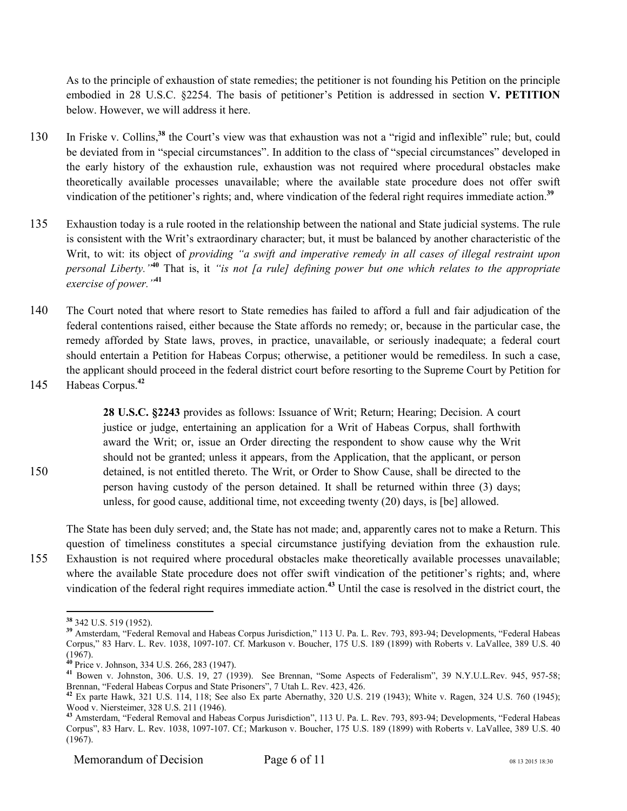As to the principle of exhaustion of state remedies; the petitioner is not founding his Petition on the principle embodied in 28 U.S.C. §2254. The basis of petitioner's Petition is addressed in section **V. PETITION** below. However, we will address it here.

- 130 In Friske v. Collins,<sup>38</sup> the Court's view was that exhaustion was not a "rigid and inflexible" rule; but, could be deviated from in "special circumstances". In addition to the class of "special circumstances" developed in the early history of the exhaustion rule, exhaustion was not required where procedural obstacles make theoretically available processes unavailable; where the available state procedure does not offer swift vindication of the petitioner's rights; and, where vindication of the federal right requires immediate action.**<sup>39</sup>**
- 135 Exhaustion today is a rule rooted in the relationship between the national and State judicial systems. The rule is consistent with the Writ's extraordinary character; but, it must be balanced by another characteristic of the Writ, to wit: its object of *providing "a swift and imperative remedy in all cases of illegal restraint upon personal Liberty."***<sup>40</sup>** That is, it *"is not [a rule] defining power but one which relates to the appropriate exercise of power."***<sup>41</sup>**
- 140 The Court noted that where resort to State remedies has failed to afford a full and fair adjudication of the federal contentions raised, either because the State affords no remedy; or, because in the particular case, the remedy afforded by State laws, proves, in practice, unavailable, or seriously inadequate; a federal court should entertain a Petition for Habeas Corpus; otherwise, a petitioner would be remediless. In such a case, the applicant should proceed in the federal district court before resorting to the Supreme Court by Petition for
- 145 Habeas Corpus.<sup>42</sup>

**28 U.S.C. §2243** provides as follows: Issuance of Writ; Return; Hearing; Decision. A court justice or judge, entertaining an application for a Writ of Habeas Corpus, shall forthwith award the Writ; or, issue an Order directing the respondent to show cause why the Writ should not be granted; unless it appears, from the Application, that the applicant, or person 150 detained, is not entitled thereto. The Writ, or Order to Show Cause, shall be directed to the person having custody of the person detained. It shall be returned within three (3) days; unless, for good cause, additional time, not exceeding twenty (20) days, is [be] allowed.

The State has been duly served; and, the State has not made; and, apparently cares not to make a Return. This question of timeliness constitutes a special circumstance justifying deviation from the exhaustion rule. 155 Exhaustion is not required where procedural obstacles make theoretically available processes unavailable; where the available State procedure does not offer swift vindication of the petitioner's rights; and, where vindication of the federal right requires immediate action.**<sup>43</sup>** Until the case is resolved in the district court, the

Memorandum of Decision  $Page 6 of 11$  08 13 2015 18:30

 $\overline{a}$ **<sup>38</sup>** 342 U.S. 519 (1952).

**<sup>39</sup>** Amsterdam, "Federal Removal and Habeas Corpus Jurisdiction," 113 U. Pa. L. Rev. 793, 893-94; Developments, "Federal Habeas Corpus," 83 Harv. L. Rev. 1038, 1097-107. Cf. Markuson v. Boucher, 175 U.S. 189 (1899) with Roberts v. LaVallee, 389 U.S. 40 (1967).

**<sup>40</sup>** Price v. Johnson, 334 U.S. 266, 283 (1947).

**<sup>41</sup>** Bowen v. Johnston, 306. U.S. 19, 27 (1939). See Brennan, "Some Aspects of Federalism", 39 N.Y.U.L.Rev. 945, 957-58; Brennan, "Federal Habeas Corpus and State Prisoners", 7 Utah L. Rev. 423, 426.

**<sup>42</sup>** Ex parte Hawk, 321 U.S. 114, 118; See also Ex parte Abernathy, 320 U.S. 219 (1943); White v. Ragen, 324 U.S. 760 (1945); Wood v. Niersteimer, 328 U.S. 211 (1946).

**<sup>43</sup>** Amsterdam, "Federal Removal and Habeas Corpus Jurisdiction", 113 U. Pa. L. Rev. 793, 893-94; Developments, "Federal Habeas Corpus", 83 Harv. L. Rev. 1038, 1097-107. Cf.; Markuson v. Boucher, 175 U.S. 189 (1899) with Roberts v. LaVallee, 389 U.S. 40 (1967).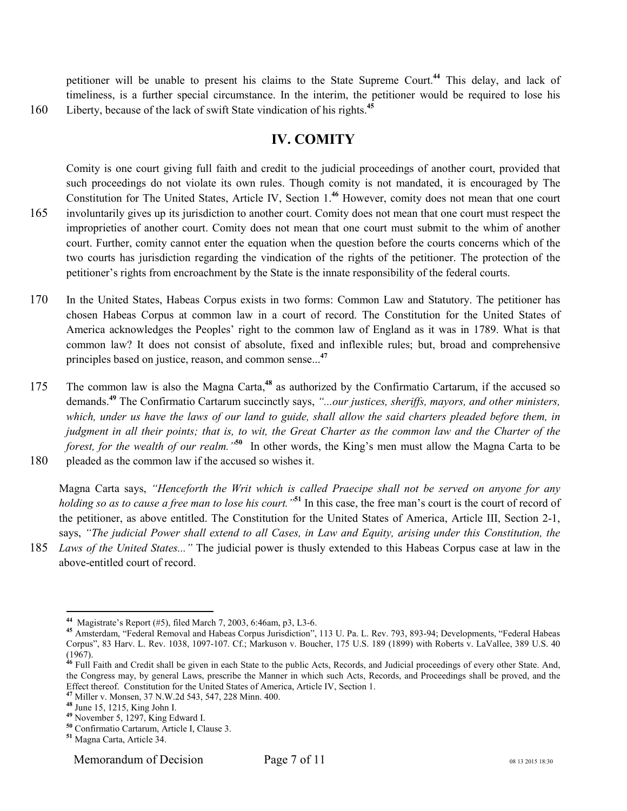petitioner will be unable to present his claims to the State Supreme Court.**<sup>44</sup>** This delay, and lack of timeliness, is a further special circumstance. In the interim, the petitioner would be required to lose his 160 Liberty, because of the lack of swift State vindication of his rights.<sup>45</sup>

#### **IV. COMITY**

Comity is one court giving full faith and credit to the judicial proceedings of another court, provided that such proceedings do not violate its own rules. Though comity is not mandated, it is encouraged by The Constitution for The United States, Article IV, Section 1.**<sup>46</sup>** However, comity does not mean that one court 165 involuntarily gives up its jurisdiction to another court. Comity does not mean that one court must respect the improprieties of another court. Comity does not mean that one court must submit to the whim of another court. Further, comity cannot enter the equation when the question before the courts concerns which of the two courts has jurisdiction regarding the vindication of the rights of the petitioner. The protection of the petitioner's rights from encroachment by the State is the innate responsibility of the federal courts.

- 170 In the United States, Habeas Corpus exists in two forms: Common Law and Statutory. The petitioner has chosen Habeas Corpus at common law in a court of record. The Constitution for the United States of America acknowledges the Peoples' right to the common law of England as it was in 1789. What is that common law? It does not consist of absolute, fixed and inflexible rules; but, broad and comprehensive principles based on justice, reason, and common sense...**<sup>47</sup>**
- The common law is also the Magna Carta,<sup>48</sup> as authorized by the Confirmatio Cartarum, if the accused so demands.**<sup>49</sup>** The Confirmatio Cartarum succinctly says, *"...our justices, sheriffs, mayors, and other ministers,*  which, under us have the laws of our land to guide, shall allow the said charters pleaded before them, in *judgment in all their points; that is, to wit, the Great Charter as the common law and the Charter of the forest, for the wealth of our realm."***<sup>50</sup>** In other words, the King's men must allow the Magna Carta to be 180 pleaded as the common law if the accused so wishes it.

Magna Carta says, *"Henceforth the Writ which is called Praecipe shall not be served on anyone for any holding so as to cause a free man to lose his court."***<sup>51</sup>** In this case, the free man's court is the court of record of the petitioner, as above entitled. The Constitution for the United States of America, Article III, Section 2-1, says, *"The judicial Power shall extend to all Cases, in Law and Equity, arising under this Constitution, the*

185 *Laws of the United States..."* The judicial power is thusly extended to this Habeas Corpus case at law in the above-entitled court of record.

 $\overline{a}$ 

**<sup>44</sup>** Magistrate's Report (#5), filed March 7, 2003, 6:46am, p3, L3-6.

**<sup>45</sup>** Amsterdam, "Federal Removal and Habeas Corpus Jurisdiction", 113 U. Pa. L. Rev. 793, 893-94; Developments, "Federal Habeas Corpus", 83 Harv. L. Rev. 1038, 1097-107. Cf.; Markuson v. Boucher, 175 U.S. 189 (1899) with Roberts v. LaVallee, 389 U.S. 40 (1967).

**<sup>46</sup>** Full Faith and Credit shall be given in each State to the public Acts, Records, and Judicial proceedings of every other State. And, the Congress may, by general Laws, prescribe the Manner in which such Acts, Records, and Proceedings shall be proved, and the Effect thereof. Constitution for the United States of America, Article IV, Section 1.

**<sup>47</sup>** Miller v. Monsen, 37 N.W.2d 543, 547, 228 Minn. 400.

**<sup>48</sup>** June 15, 1215, King John I.

**<sup>49</sup>** November 5, 1297, King Edward I.

**<sup>50</sup>** Confirmatio Cartarum, Article I, Clause 3.

**<sup>51</sup>** Magna Carta, Article 34.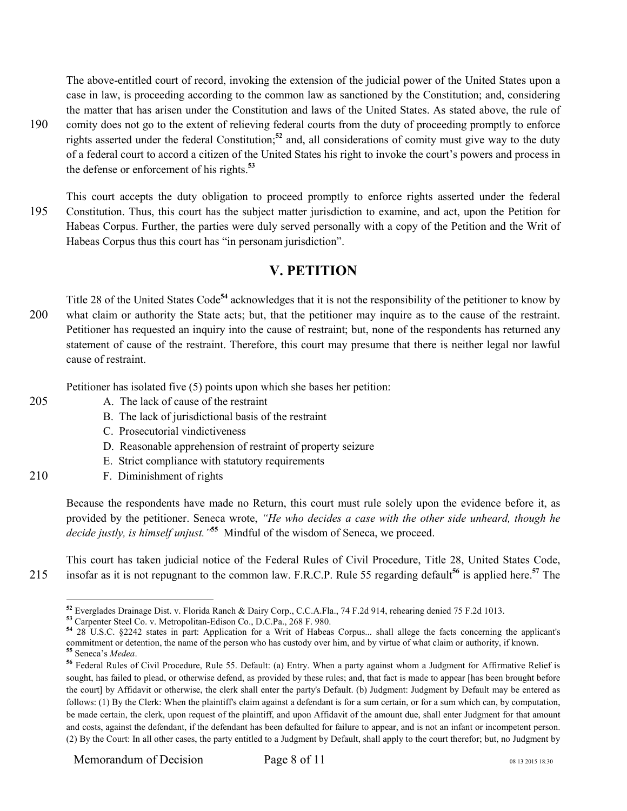The above-entitled court of record, invoking the extension of the judicial power of the United States upon a case in law, is proceeding according to the common law as sanctioned by the Constitution; and, considering the matter that has arisen under the Constitution and laws of the United States. As stated above, the rule of 190 comity does not go to the extent of relieving federal courts from the duty of proceeding promptly to enforce rights asserted under the federal Constitution;**<sup>52</sup>** and, all considerations of comity must give way to the duty of a federal court to accord a citizen of the United States his right to invoke the court's powers and process in the defense or enforcement of his rights.**<sup>53</sup>**

This court accepts the duty obligation to proceed promptly to enforce rights asserted under the federal 195 Constitution. Thus, this court has the subject matter jurisdiction to examine, and act, upon the Petition for Habeas Corpus. Further, the parties were duly served personally with a copy of the Petition and the Writ of Habeas Corpus thus this court has "in personam jurisdiction".

#### **V. PETITION**

Title 28 of the United States Code**<sup>54</sup>** acknowledges that it is not the responsibility of the petitioner to know by 200 what claim or authority the State acts; but, that the petitioner may inquire as to the cause of the restraint. Petitioner has requested an inquiry into the cause of restraint; but, none of the respondents has returned any statement of cause of the restraint. Therefore, this court may presume that there is neither legal nor lawful cause of restraint.

Petitioner has isolated five (5) points upon which she bases her petition:

- 
- 205 A. The lack of cause of the restraint
	- B. The lack of jurisdictional basis of the restraint
	- C. Prosecutorial vindictiveness
	- D. Reasonable apprehension of restraint of property seizure
	- E. Strict compliance with statutory requirements
- 210 F. Diminishment of rights

Because the respondents have made no Return, this court must rule solely upon the evidence before it, as provided by the petitioner. Seneca wrote, *"He who decides a case with the other side unheard, though he decide justly, is himself unjust."***<sup>55</sup>** Mindful of the wisdom of Seneca, we proceed.

This court has taken judicial notice of the Federal Rules of Civil Procedure, Title 28, United States Code, 215 insofar as it is not repugnant to the common law. F.R.C.P. Rule 55 regarding default<sup>56</sup> is applied here.<sup>57</sup> The

 $\overline{a}$ **<sup>52</sup>** Everglades Drainage Dist. v. Florida Ranch & Dairy Corp., C.C.A.Fla., 74 F.2d 914, rehearing denied 75 F.2d 1013.

**<sup>53</sup>** Carpenter Steel Co. v. Metropolitan-Edison Co., D.C.Pa., 268 F. 980.

**<sup>54</sup>** 28 U.S.C. §2242 states in part: Application for a Writ of Habeas Corpus... shall allege the facts concerning the applicant's commitment or detention, the name of the person who has custody over him, and by virtue of what claim or authority, if known. **<sup>55</sup>** Seneca's *Medea*.

**<sup>56</sup>** Federal Rules of Civil Procedure, Rule 55. Default: (a) Entry. When a party against whom a Judgment for Affirmative Relief is sought, has failed to plead, or otherwise defend, as provided by these rules; and, that fact is made to appear [has been brought before the court] by Affidavit or otherwise, the clerk shall enter the party's Default. (b) Judgment: Judgment by Default may be entered as follows: (1) By the Clerk: When the plaintiff's claim against a defendant is for a sum certain, or for a sum which can, by computation, be made certain, the clerk, upon request of the plaintiff, and upon Affidavit of the amount due, shall enter Judgment for that amount and costs, against the defendant, if the defendant has been defaulted for failure to appear, and is not an infant or incompetent person. (2) By the Court: In all other cases, the party entitled to a Judgment by Default, shall apply to the court therefor; but, no Judgment by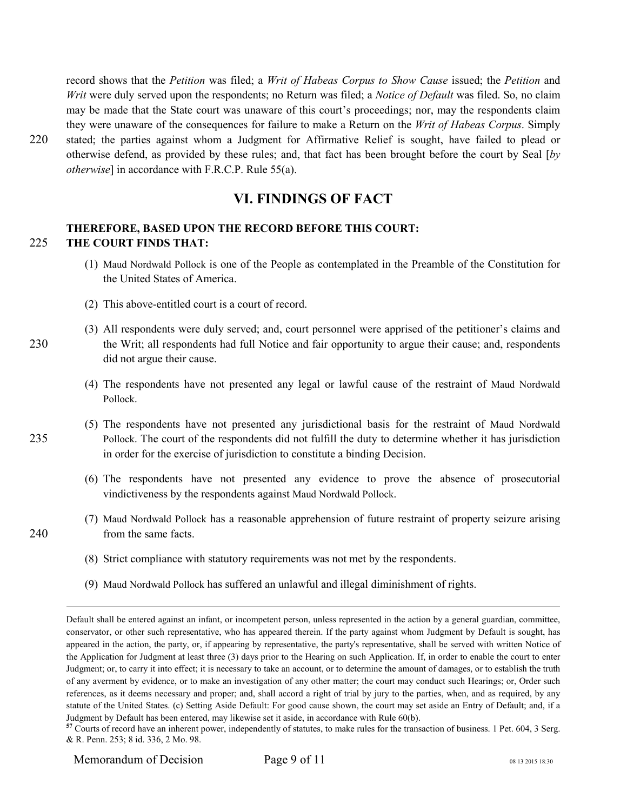record shows that the *Petition* was filed; a *Writ of Habeas Corpus to Show Cause* issued; the *Petition* and *Writ* were duly served upon the respondents; no Return was filed; a *Notice of Default* was filed. So, no claim may be made that the State court was unaware of this court's proceedings; nor, may the respondents claim they were unaware of the consequences for failure to make a Return on the *Writ of Habeas Corpus*. Simply 220 stated; the parties against whom a Judgment for Affirmative Relief is sought, have failed to plead or otherwise defend, as provided by these rules; and, that fact has been brought before the court by Seal [*by* 

**VI. FINDINGS OF FACT** 

#### **THEREFORE, BASED UPON THE RECORD BEFORE THIS COURT:**  225 **THE COURT FINDS THAT:**

- (1) Maud Nordwald Pollock is one of the People as contemplated in the Preamble of the Constitution for the United States of America.
- (2) This above-entitled court is a court of record.

*otherwise*] in accordance with F.R.C.P. Rule 55(a).

- (3) All respondents were duly served; and, court personnel were apprised of the petitioner's claims and 230 the Writ; all respondents had full Notice and fair opportunity to argue their cause; and, respondents did not argue their cause.
	- (4) The respondents have not presented any legal or lawful cause of the restraint of Maud Nordwald Pollock.
- (5) The respondents have not presented any jurisdictional basis for the restraint of Maud Nordwald 235 Pollock. The court of the respondents did not fulfill the duty to determine whether it has jurisdiction in order for the exercise of jurisdiction to constitute a binding Decision.
	- (6) The respondents have not presented any evidence to prove the absence of prosecutorial vindictiveness by the respondents against Maud Nordwald Pollock.
- (7) Maud Nordwald Pollock has a reasonable apprehension of future restraint of property seizure arising 240 from the same facts.
	- (8) Strict compliance with statutory requirements was not met by the respondents.
	- (9) Maud Nordwald Pollock has suffered an unlawful and illegal diminishment of rights.

Memorandum of Decision Page 9 of 11 08 13 2015 18:30

<u>.</u>

Default shall be entered against an infant, or incompetent person, unless represented in the action by a general guardian, committee, conservator, or other such representative, who has appeared therein. If the party against whom Judgment by Default is sought, has appeared in the action, the party, or, if appearing by representative, the party's representative, shall be served with written Notice of the Application for Judgment at least three (3) days prior to the Hearing on such Application. If, in order to enable the court to enter Judgment; or, to carry it into effect; it is necessary to take an account, or to determine the amount of damages, or to establish the truth of any averment by evidence, or to make an investigation of any other matter; the court may conduct such Hearings; or, Order such references, as it deems necessary and proper; and, shall accord a right of trial by jury to the parties, when, and as required, by any statute of the United States. (c) Setting Aside Default: For good cause shown, the court may set aside an Entry of Default; and, if a Judgment by Default has been entered, may likewise set it aside, in accordance with Rule 60(b).

<sup>&</sup>lt;sup>57</sup> Courts of record have an inherent power, independently of statutes, to make rules for the transaction of business. 1 Pet. 604, 3 Serg. & R. Penn. 253; 8 id. 336, 2 Mo. 98.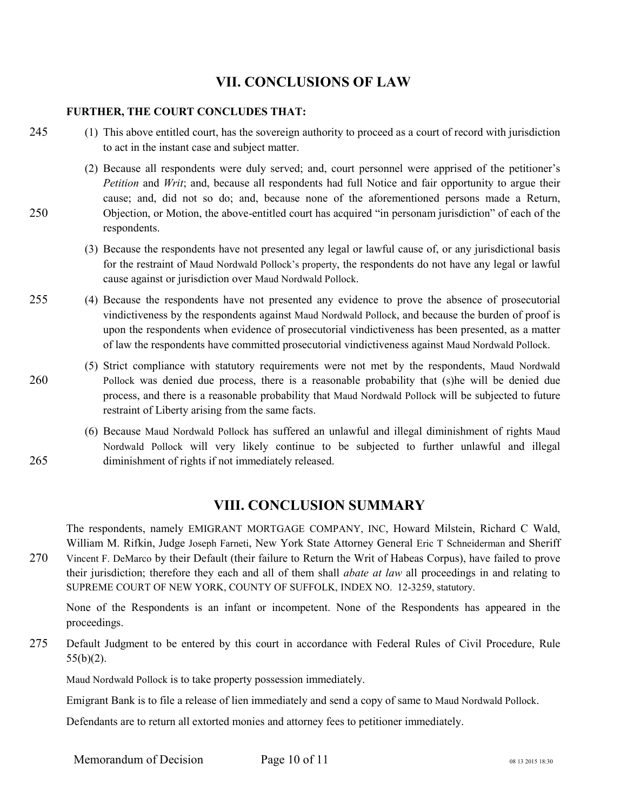#### **VII. CONCLUSIONS OF LAW**

#### **FURTHER, THE COURT CONCLUDES THAT:**

- 245 (1) This above entitled court, has the sovereign authority to proceed as a court of record with jurisdiction to act in the instant case and subject matter.
- (2) Because all respondents were duly served; and, court personnel were apprised of the petitioner's *Petition* and *Writ*; and, because all respondents had full Notice and fair opportunity to argue their cause; and, did not so do; and, because none of the aforementioned persons made a Return, 250 Objection, or Motion, the above-entitled court has acquired "in personam jurisdiction" of each of the respondents.
	- (3) Because the respondents have not presented any legal or lawful cause of, or any jurisdictional basis for the restraint of Maud Nordwald Pollock's property, the respondents do not have any legal or lawful cause against or jurisdiction over Maud Nordwald Pollock.
- 255 (4) Because the respondents have not presented any evidence to prove the absence of prosecutorial vindictiveness by the respondents against Maud Nordwald Pollock, and because the burden of proof is upon the respondents when evidence of prosecutorial vindictiveness has been presented, as a matter of law the respondents have committed prosecutorial vindictiveness against Maud Nordwald Pollock.
- (5) Strict compliance with statutory requirements were not met by the respondents, Maud Nordwald 260 Pollock was denied due process, there is a reasonable probability that (s)he will be denied due process, and there is a reasonable probability that Maud Nordwald Pollock will be subjected to future restraint of Liberty arising from the same facts.
- (6) Because Maud Nordwald Pollock has suffered an unlawful and illegal diminishment of rights Maud Nordwald Pollock will very likely continue to be subjected to further unlawful and illegal 265 diminishment of rights if not immediately released.

#### **VIII. CONCLUSION SUMMARY**

The respondents, namely EMIGRANT MORTGAGE COMPANY, INC, Howard Milstein, Richard C Wald, William M. Rifkin, Judge Joseph Farneti, New York State Attorney General Eric T Schneiderman and Sheriff 270 Vincent F. DeMarco by their Default (their failure to Return the Writ of Habeas Corpus), have failed to prove

their jurisdiction; therefore they each and all of them shall *abate at law* all proceedings in and relating to SUPREME COURT OF NEW YORK, COUNTY OF SUFFOLK, INDEX NO. 12-3259, statutory.

None of the Respondents is an infant or incompetent. None of the Respondents has appeared in the proceedings.

275 Default Judgment to be entered by this court in accordance with Federal Rules of Civil Procedure, Rule 55(b)(2).

Maud Nordwald Pollock is to take property possession immediately.

Emigrant Bank is to file a release of lien immediately and send a copy of same to Maud Nordwald Pollock.

Defendants are to return all extorted monies and attorney fees to petitioner immediately.

Memorandum of Decision Page 10 of 11 08 13 2015 18:30